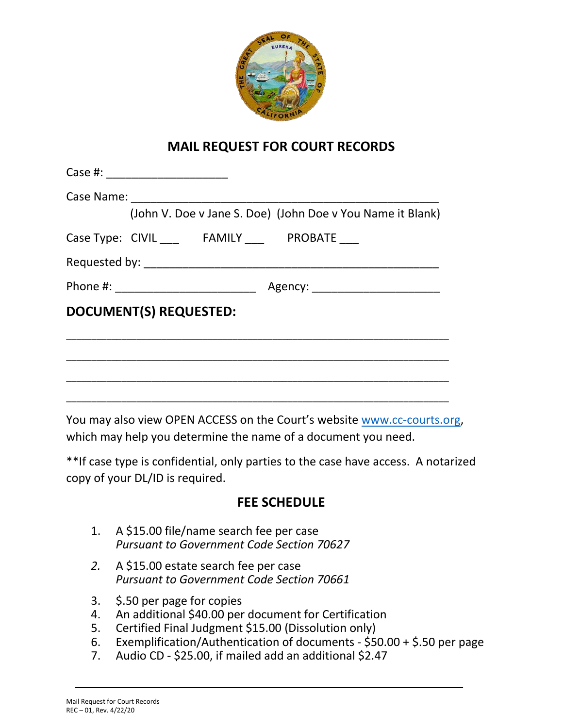

## **MAIL REQUEST FOR COURT RECORDS**

| (John V. Doe v Jane S. Doe) (John Doe v You Name it Blank)                             |
|----------------------------------------------------------------------------------------|
| Case Type: CIVIL FAMILY PROBATE                                                        |
|                                                                                        |
|                                                                                        |
| <b>DOCUMENT(S) REQUESTED:</b>                                                          |
|                                                                                        |
|                                                                                        |
|                                                                                        |
| $V_{\text{out}}$ is a contract of $\Omega$ DENIACCECC and the Caugh such that $\Omega$ |

You may also view OPEN ACCESS on the Court's website [www.cc-courts.org,](http://www.cc-courts.org/) which may help you determine the name of a document you need.

\*\*If case type is confidential, only parties to the case have access. A notarized copy of your DL/ID is required.

## **FEE SCHEDULE**

- 1. A \$15.00 file/name search fee per case *Pursuant to Government Code Section 70627*
- *2.* A \$15.00 estate search fee per case *Pursuant to Government Code Section 70661*
- 3. \$.50 per page for copies
- 4. An additional \$40.00 per document for Certification
- 5. Certified Final Judgment \$15.00 (Dissolution only)
- 6. Exemplification/Authentication of documents \$50.00 + \$.50 per page
- 7. Audio CD \$25.00, if mailed add an additional \$2.47

\_\_\_\_\_\_\_\_\_\_\_\_\_\_\_\_\_\_\_\_\_\_\_\_\_\_\_\_\_\_\_\_\_\_\_\_\_\_\_\_\_\_\_\_\_\_\_\_\_\_\_\_\_\_\_\_\_\_\_\_\_\_\_\_\_\_\_\_\_\_\_\_\_\_\_\_\_